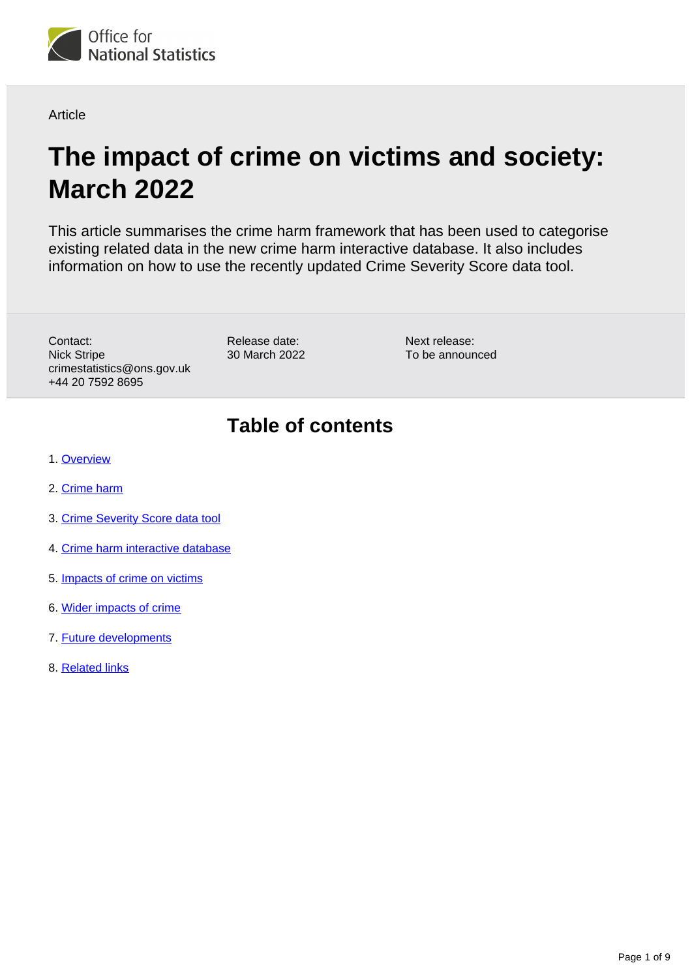

**Article** 

# **The impact of crime on victims and society: March 2022**

This article summarises the crime harm framework that has been used to categorise existing related data in the new crime harm interactive database. It also includes information on how to use the recently updated Crime Severity Score data tool.

Contact: Nick Stripe crimestatistics@ons.gov.uk +44 20 7592 8695

Release date: 30 March 2022 Next release: To be announced

## **Table of contents**

- 1. [Overview](#page-1-0)
- 2. [Crime harm](#page-1-1)
- 3. [Crime Severity Score data tool](#page-2-0)
- 4. [Crime harm interactive database](#page-5-0)
- 5. [Impacts of crime on victims](#page-5-1)
- 6. [Wider impacts of crime](#page-6-0)
- 7. [Future developments](#page-8-0)
- 8. [Related links](#page-8-1)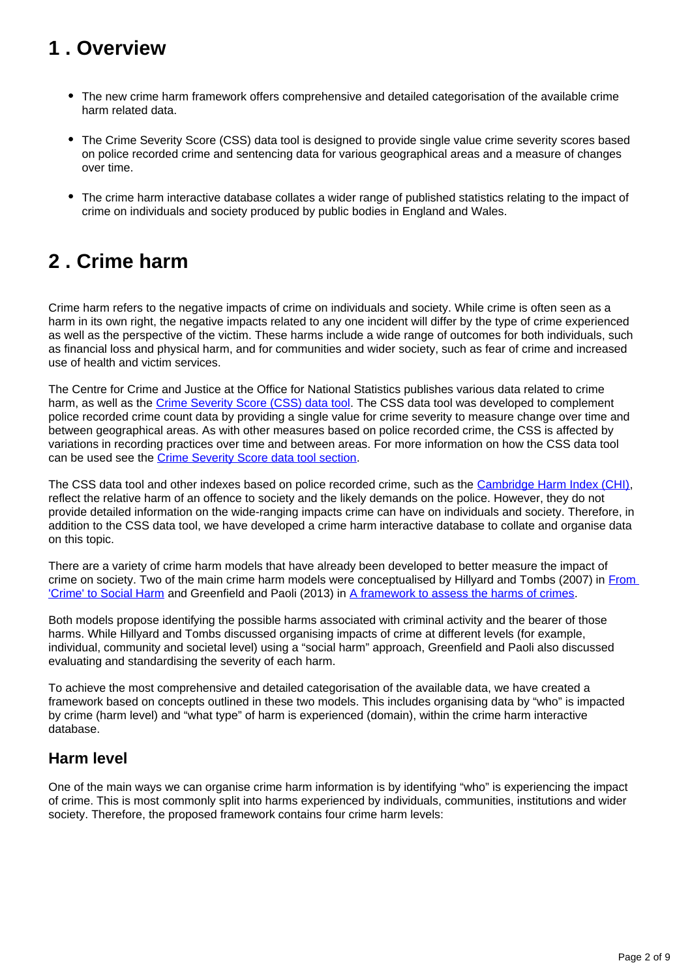## <span id="page-1-0"></span>**1 . Overview**

- The new crime harm framework offers comprehensive and detailed categorisation of the available crime harm related data.
- The Crime Severity Score (CSS) data tool is designed to provide single value crime severity scores based on police recorded crime and sentencing data for various geographical areas and a measure of changes over time.
- The crime harm interactive database collates a wider range of published statistics relating to the impact of crime on individuals and society produced by public bodies in England and Wales.

## <span id="page-1-1"></span>**2 . Crime harm**

Crime harm refers to the negative impacts of crime on individuals and society. While crime is often seen as a harm in its own right, the negative impacts related to any one incident will differ by the type of crime experienced as well as the perspective of the victim. These harms include a wide range of outcomes for both individuals, such as financial loss and physical harm, and for communities and wider society, such as fear of crime and increased use of health and victim services.

The Centre for Crime and Justice at the Office for National Statistics publishes various data related to crime harm, as well as the [Crime Severity Score \(CSS\) data tool](https://www.ons.gov.uk/peoplepopulationandcommunity/crimeandjustice/datasets/crimeseverityscoreexperimentalstatistics). The CSS data tool was developed to complement police recorded crime count data by providing a single value for crime severity to measure change over time and between geographical areas. As with other measures based on police recorded crime, the CSS is affected by variations in recording practices over time and between areas. For more information on how the CSS data tool can be used see the [Crime Severity Score data tool section.](https://www.ons.gov.uk/peoplepopulationandcommunity/crimeandjustice/articles/theimpactofcrimeonvictimsandsociety/march2022#crime-severity-score-data-tool)

The CSS data tool and other indexes based on police recorded crime, such as the [Cambridge Harm Index \(CHI\),](https://www.crim.cam.ac.uk/research/thecambridgecrimeharmindex) reflect the relative harm of an offence to society and the likely demands on the police. However, they do not provide detailed information on the wide-ranging impacts crime can have on individuals and society. Therefore, in addition to the CSS data tool, we have developed a crime harm interactive database to collate and organise data on this topic.

There are a variety of crime harm models that have already been developed to better measure the impact of crime on society. Two of the main crime harm models were conceptualised by Hillyard and Tombs (2007) in [From](https://www.taylorfrancis.com/chapters/mono/10.4324/9781315245416-10/paddy-hillyard-steve-tombs-2007-crime-social-harm-crime-law-social-change-48-pp-9-25-paul-stretesky-michael-lynch)  ['Crime' to Social Harm](https://www.taylorfrancis.com/chapters/mono/10.4324/9781315245416-10/paddy-hillyard-steve-tombs-2007-crime-social-harm-crime-law-social-change-48-pp-9-25-paul-stretesky-michael-lynch) and Greenfield and Paoli (2013) in [A framework to assess the harms of crimes](https://www.jstor.org/stable/23639794).

Both models propose identifying the possible harms associated with criminal activity and the bearer of those harms. While Hillyard and Tombs discussed organising impacts of crime at different levels (for example, individual, community and societal level) using a "social harm" approach, Greenfield and Paoli also discussed evaluating and standardising the severity of each harm.

To achieve the most comprehensive and detailed categorisation of the available data, we have created a framework based on concepts outlined in these two models. This includes organising data by "who" is impacted by crime (harm level) and "what type" of harm is experienced (domain), within the crime harm interactive database.

### **Harm level**

One of the main ways we can organise crime harm information is by identifying "who" is experiencing the impact of crime. This is most commonly split into harms experienced by individuals, communities, institutions and wider society. Therefore, the proposed framework contains four crime harm levels: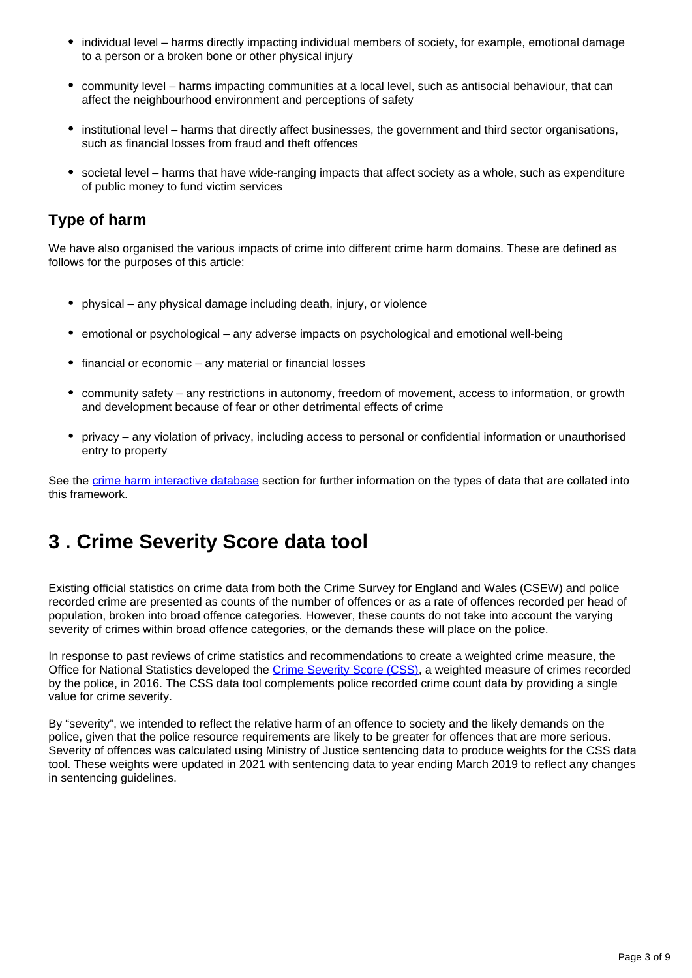- individual level harms directly impacting individual members of society, for example, emotional damage to a person or a broken bone or other physical injury
- community level harms impacting communities at a local level, such as antisocial behaviour, that can affect the neighbourhood environment and perceptions of safety
- institutional level harms that directly affect businesses, the government and third sector organisations, such as financial losses from fraud and theft offences
- societal level harms that have wide-ranging impacts that affect society as a whole, such as expenditure of public money to fund victim services

#### **Type of harm**

We have also organised the various impacts of crime into different crime harm domains. These are defined as follows for the purposes of this article:

- physical any physical damage including death, injury, or violence
- emotional or psychological any adverse impacts on psychological and emotional well-being
- financial or economic any material or financial losses
- community safety any restrictions in autonomy, freedom of movement, access to information, or growth and development because of fear or other detrimental effects of crime
- privacy any violation of privacy, including access to personal or confidential information or unauthorised entry to property

See the [crime harm interactive database](https://www.ons.gov.uk/peoplepopulationandcommunity/crimeandjustice/articles/theimpactofcrimeonvictimsandsociety/march2022#crime-harm-interactive-database) section for further information on the types of data that are collated into this framework.

## <span id="page-2-0"></span>**3 . Crime Severity Score data tool**

Existing official statistics on crime data from both the Crime Survey for England and Wales (CSEW) and police recorded crime are presented as counts of the number of offences or as a rate of offences recorded per head of population, broken into broad offence categories. However, these counts do not take into account the varying severity of crimes within broad offence categories, or the demands these will place on the police.

In response to past reviews of crime statistics and recommendations to create a weighted crime measure, the Office for National Statistics developed the [Crime Severity Score \(CSS\)](https://www.ons.gov.uk/peoplepopulationandcommunity/crimeandjustice/datasets/crimeseverityscoreexperimentalstatistics), a weighted measure of crimes recorded by the police, in 2016. The CSS data tool complements police recorded crime count data by providing a single value for crime severity.

By "severity", we intended to reflect the relative harm of an offence to society and the likely demands on the police, given that the police resource requirements are likely to be greater for offences that are more serious. Severity of offences was calculated using Ministry of Justice sentencing data to produce weights for the CSS data tool. These weights were updated in 2021 with sentencing data to year ending March 2019 to reflect any changes in sentencing guidelines.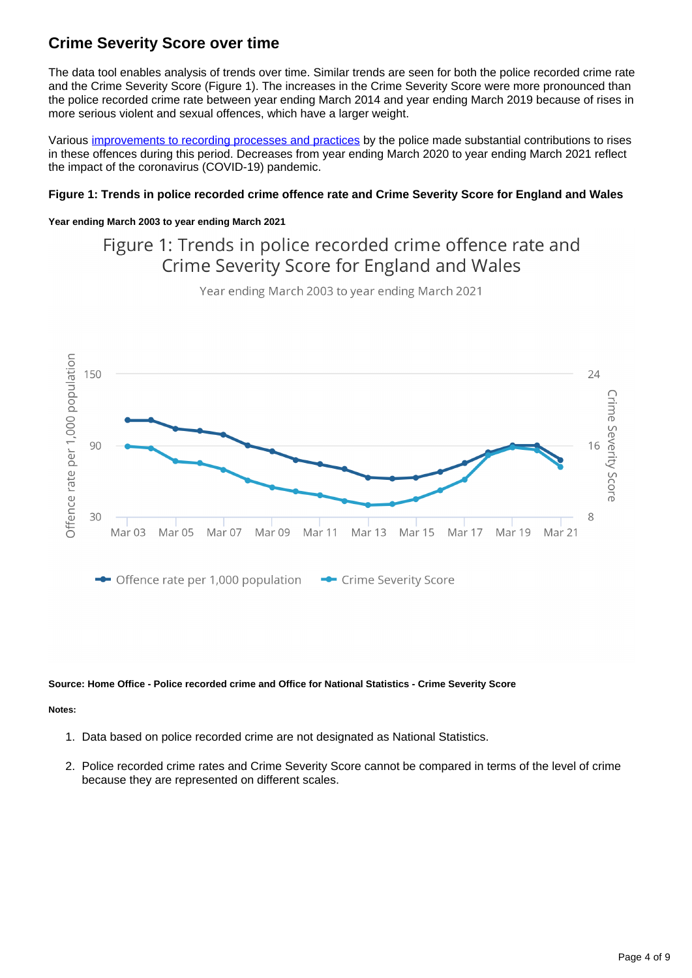### **Crime Severity Score over time**

The data tool enables analysis of trends over time. Similar trends are seen for both the police recorded crime rate and the Crime Severity Score (Figure 1). The increases in the Crime Severity Score were more pronounced than the police recorded crime rate between year ending March 2014 and year ending March 2019 because of rises in more serious violent and sexual offences, which have a larger weight.

Various [improvements to recording processes and practices](https://www.justiceinspectorates.gov.uk/hmicfrs/publications/state-of-policing-the-annual-assessment-of-policing-in-england-and-wales-2019/) by the police made substantial contributions to rises in these offences during this period. Decreases from year ending March 2020 to year ending March 2021 reflect the impact of the coronavirus (COVID-19) pandemic.

#### **Figure 1: Trends in police recorded crime offence rate and Crime Severity Score for England and Wales**

#### **Year ending March 2003 to year ending March 2021**

### Figure 1: Trends in police recorded crime offence rate and Crime Severity Score for England and Wales



Year ending March 2003 to year ending March 2021

#### **Source: Home Office - Police recorded crime and Office for National Statistics - Crime Severity Score**

#### **Notes:**

- 1. Data based on police recorded crime are not designated as National Statistics.
- 2. Police recorded crime rates and Crime Severity Score cannot be compared in terms of the level of crime because they are represented on different scales.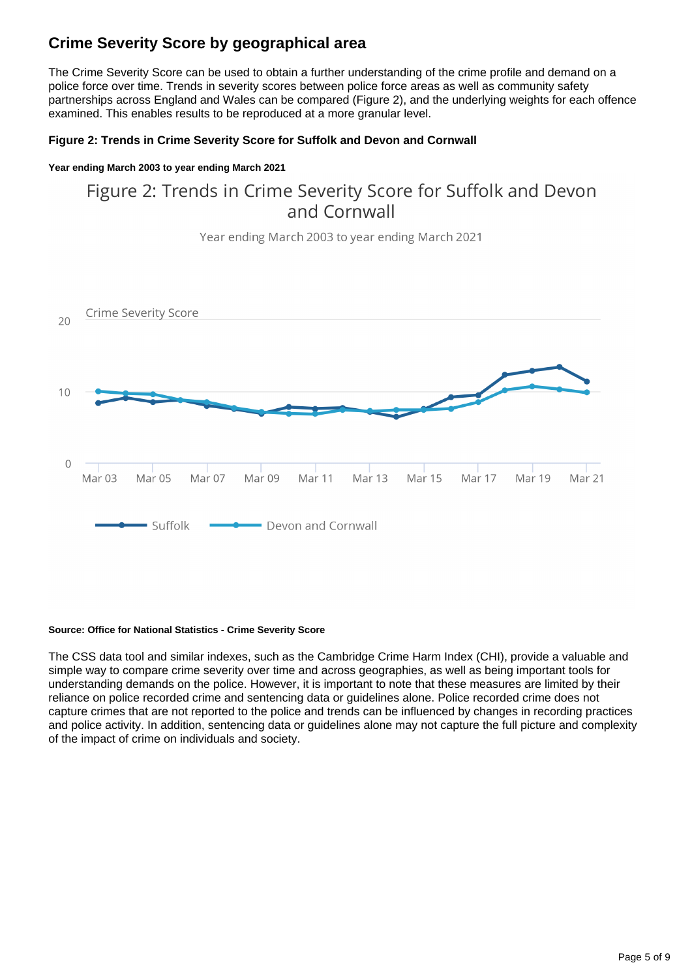### **Crime Severity Score by geographical area**

The Crime Severity Score can be used to obtain a further understanding of the crime profile and demand on a police force over time. Trends in severity scores between police force areas as well as community safety partnerships across England and Wales can be compared (Figure 2), and the underlying weights for each offence examined. This enables results to be reproduced at a more granular level.

#### **Figure 2: Trends in Crime Severity Score for Suffolk and Devon and Cornwall**

#### **Year ending March 2003 to year ending March 2021**

### Figure 2: Trends in Crime Severity Score for Suffolk and Devon and Cornwall

Year ending March 2003 to year ending March 2021 **Crime Severity Score**  $20$  $10$  $\overline{O}$ Mar<sub>03</sub> Mar 05 Mar 07 Mar 09 Mar 11 Mar 13 Mar 15 Mar 17 Mar 19 Mar 21 Suffolk - Devon and Cornwall

#### **Source: Office for National Statistics - Crime Severity Score**

The CSS data tool and similar indexes, such as the Cambridge Crime Harm Index (CHI), provide a valuable and simple way to compare crime severity over time and across geographies, as well as being important tools for understanding demands on the police. However, it is important to note that these measures are limited by their reliance on police recorded crime and sentencing data or guidelines alone. Police recorded crime does not capture crimes that are not reported to the police and trends can be influenced by changes in recording practices and police activity. In addition, sentencing data or guidelines alone may not capture the full picture and complexity of the impact of crime on individuals and society.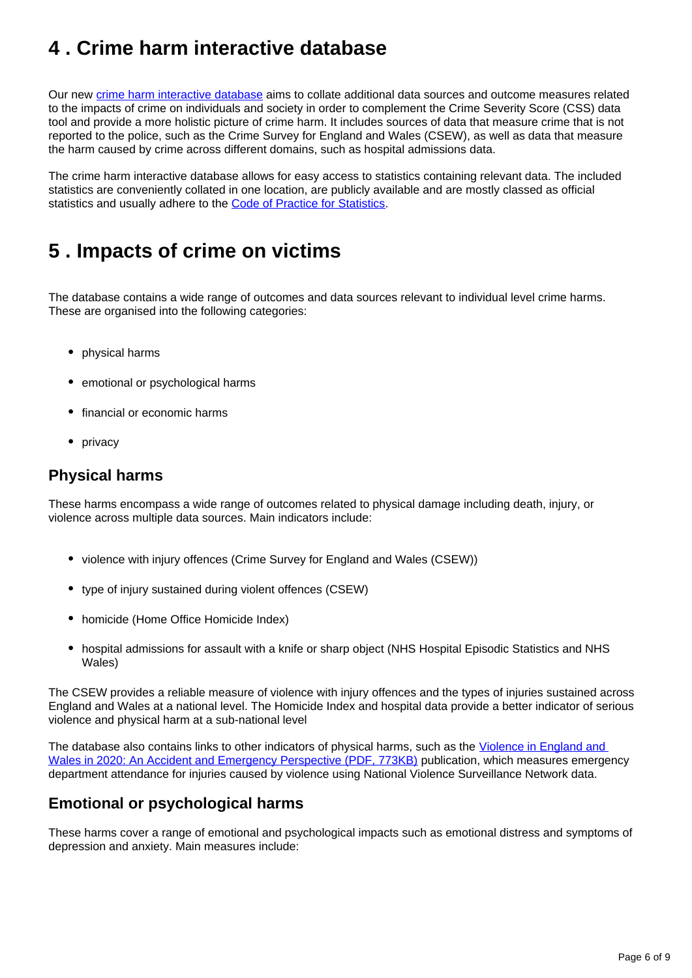## <span id="page-5-0"></span>**4 . Crime harm interactive database**

Our new [crime harm interactive database](https://gss.civilservice.gov.uk/dashboard/tools/crime-and-justice-statistics/database.html) aims to collate additional data sources and outcome measures related to the impacts of crime on individuals and society in order to complement the Crime Severity Score (CSS) data tool and provide a more holistic picture of crime harm. It includes sources of data that measure crime that is not reported to the police, such as the Crime Survey for England and Wales (CSEW), as well as data that measure the harm caused by crime across different domains, such as hospital admissions data.

The crime harm interactive database allows for easy access to statistics containing relevant data. The included statistics are conveniently collated in one location, are publicly available and are mostly classed as official statistics and usually adhere to the [Code of Practice for Statistics](https://code.statisticsauthority.gov.uk/).

## <span id="page-5-1"></span>**5 . Impacts of crime on victims**

The database contains a wide range of outcomes and data sources relevant to individual level crime harms. These are organised into the following categories:

- physical harms
- emotional or psychological harms
- financial or economic harms
- privacy

#### **Physical harms**

These harms encompass a wide range of outcomes related to physical damage including death, injury, or violence across multiple data sources. Main indicators include:

- violence with injury offences (Crime Survey for England and Wales (CSEW))
- type of injury sustained during violent offences (CSEW)
- homicide (Home Office Homicide Index)
- hospital admissions for assault with a knife or sharp object (NHS Hospital Episodic Statistics and NHS Wales)

The CSEW provides a reliable measure of violence with injury offences and the types of injuries sustained across England and Wales at a national level. The Homicide Index and hospital data provide a better indicator of serious violence and physical harm at a sub-national level

The database also contains links to other indicators of physical harms, such as the [Violence in England and](https://www.cardiff.ac.uk/__data/assets/pdf_file/0003/2524845/ViolenceInEnglandandWalesin2020_NVSNCardiffUniversityReport.pdf)  [Wales in 2020: An Accident and Emergency Perspective \(PDF, 773KB\)](https://www.cardiff.ac.uk/__data/assets/pdf_file/0003/2524845/ViolenceInEnglandandWalesin2020_NVSNCardiffUniversityReport.pdf) publication, which measures emergency department attendance for injuries caused by violence using National Violence Surveillance Network data.

### **Emotional or psychological harms**

These harms cover a range of emotional and psychological impacts such as emotional distress and symptoms of depression and anxiety. Main measures include: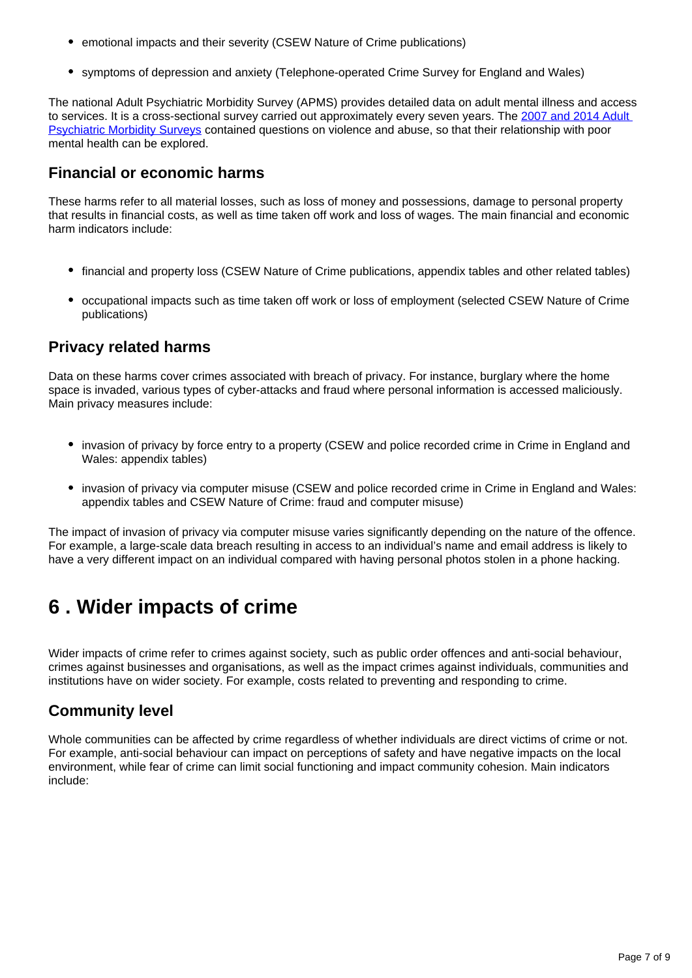- emotional impacts and their severity (CSEW Nature of Crime publications)
- symptoms of depression and anxiety (Telephone-operated Crime Survey for England and Wales)

The national Adult Psychiatric Morbidity Survey (APMS) provides detailed data on adult mental illness and access to services. It is a cross-sectional survey carried out approximately every seven years. The 2007 and 2014 Adult [Psychiatric Morbidity Surveys](https://academic.oup.com/ije/article/49/2/361/5625684?login=false) contained questions on violence and abuse, so that their relationship with poor mental health can be explored.

#### **Financial or economic harms**

These harms refer to all material losses, such as loss of money and possessions, damage to personal property that results in financial costs, as well as time taken off work and loss of wages. The main financial and economic harm indicators include:

- financial and property loss (CSEW Nature of Crime publications, appendix tables and other related tables)
- occupational impacts such as time taken off work or loss of employment (selected CSEW Nature of Crime publications)

#### **Privacy related harms**

Data on these harms cover crimes associated with breach of privacy. For instance, burglary where the home space is invaded, various types of cyber-attacks and fraud where personal information is accessed maliciously. Main privacy measures include:

- invasion of privacy by force entry to a property (CSEW and police recorded crime in Crime in England and Wales: appendix tables)
- invasion of privacy via computer misuse (CSEW and police recorded crime in Crime in England and Wales: appendix tables and CSEW Nature of Crime: fraud and computer misuse)

The impact of invasion of privacy via computer misuse varies significantly depending on the nature of the offence. For example, a large-scale data breach resulting in access to an individual's name and email address is likely to have a very different impact on an individual compared with having personal photos stolen in a phone hacking.

## <span id="page-6-0"></span>**6 . Wider impacts of crime**

Wider impacts of crime refer to crimes against society, such as public order offences and anti-social behaviour, crimes against businesses and organisations, as well as the impact crimes against individuals, communities and institutions have on wider society. For example, costs related to preventing and responding to crime.

#### **Community level**

Whole communities can be affected by crime regardless of whether individuals are direct victims of crime or not. For example, anti-social behaviour can impact on perceptions of safety and have negative impacts on the local environment, while fear of crime can limit social functioning and impact community cohesion. Main indicators include: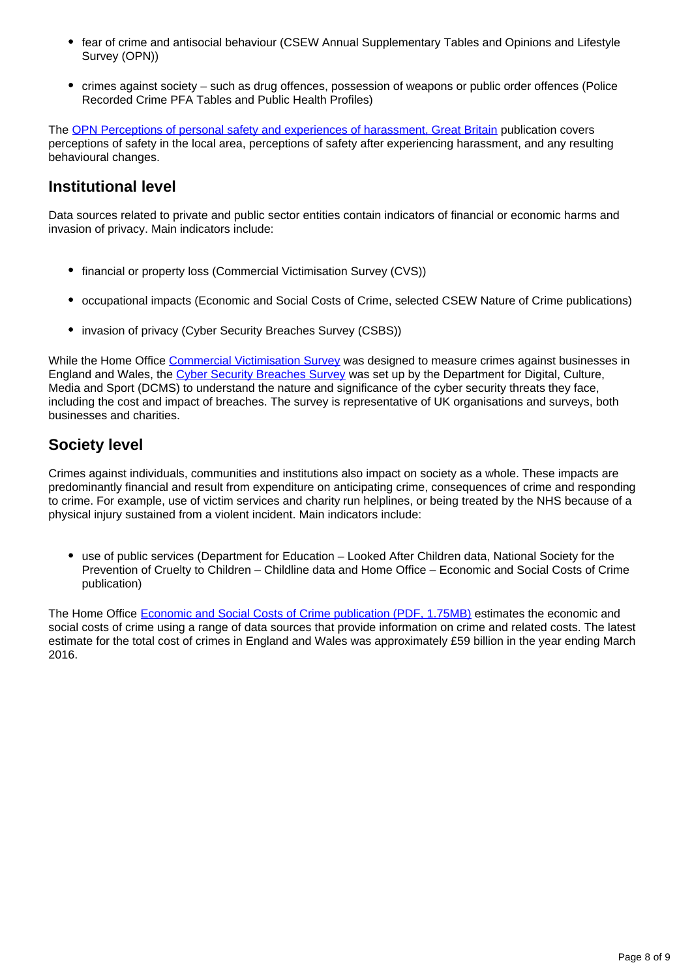- fear of crime and antisocial behaviour (CSEW Annual Supplementary Tables and Opinions and Lifestyle Survey (OPN))
- crimes against society such as drug offences, possession of weapons or public order offences (Police Recorded Crime PFA Tables and Public Health Profiles)

The [OPN Perceptions of personal safety and experiences of harassment, Great Britain](https://www.ons.gov.uk/peoplepopulationandcommunity/crimeandjustice/datasets/perceptionsofpersonalsafetyandexperiencesofharassmentgreatbritain) publication covers perceptions of safety in the local area, perceptions of safety after experiencing harassment, and any resulting behavioural changes.

#### **Institutional level**

Data sources related to private and public sector entities contain indicators of financial or economic harms and invasion of privacy. Main indicators include:

- financial or property loss (Commercial Victimisation Survey (CVS))
- occupational impacts (Economic and Social Costs of Crime, selected CSEW Nature of Crime publications)
- invasion of privacy (Cyber Security Breaches Survey (CSBS))

While the Home Office [Commercial Victimisation Survey](https://www.gov.uk/government/statistics/crime-against-businesses-findings-from-the-2018-commercial-victimisation-survey-data-tables) was designed to measure crimes against businesses in England and Wales, the [Cyber Security Breaches Survey](https://assets.publishing.service.gov.uk/government/uploads/system/uploads/attachment_data/file/950063/Cyber_Security_Breaches_Survey_2019_-_Main_Report_-_revised_V2.pdf) was set up by the Department for Digital, Culture, Media and Sport (DCMS) to understand the nature and significance of the cyber security threats they face, including the cost and impact of breaches. The survey is representative of UK organisations and surveys, both businesses and charities.

### **Society level**

Crimes against individuals, communities and institutions also impact on society as a whole. These impacts are predominantly financial and result from expenditure on anticipating crime, consequences of crime and responding to crime. For example, use of victim services and charity run helplines, or being treated by the NHS because of a physical injury sustained from a violent incident. Main indicators include:

use of public services (Department for Education – Looked After Children data, National Society for the Prevention of Cruelty to Children – Childline data and Home Office – Economic and Social Costs of Crime publication)

The Home Office [Economic and Social Costs of Crime publication \(PDF, 1.75MB\)](https://assets.publishing.service.gov.uk/government/uploads/system/uploads/attachment_data/file/732110/the-economic-and-social-costs-of-crime-horr99.pdf) estimates the economic and social costs of crime using a range of data sources that provide information on crime and related costs. The latest estimate for the total cost of crimes in England and Wales was approximately £59 billion in the year ending March 2016.